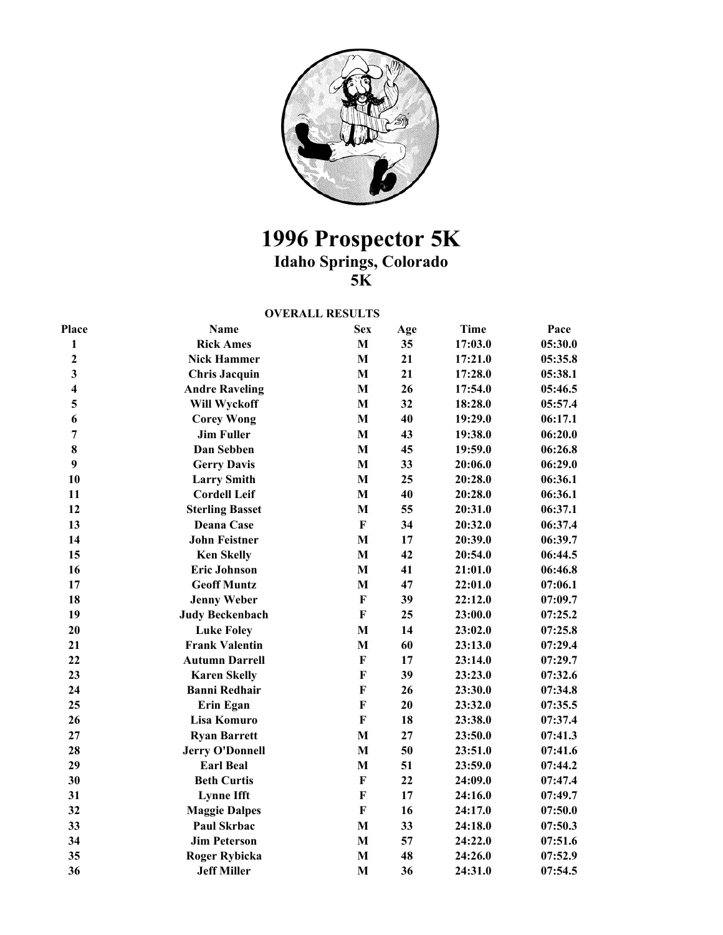

## **1996 Prospector 5K Idaho Springs, Colorado**

**5K** 

## **OVERALL RESULTS**

| Place                   | <b>Name</b>            | <b>Sex</b>                | Age | <b>Time</b> | Pace    |
|-------------------------|------------------------|---------------------------|-----|-------------|---------|
| 1                       | <b>Rick Ames</b>       | $\mathbf M$               | 35  | 17:03.0     | 05:30.0 |
| $\overline{2}$          | <b>Nick Hammer</b>     | $\mathbf M$               | 21  | 17:21.0     | 05:35.8 |
| 3                       | <b>Chris Jacquin</b>   | $\mathbf M$               | 21  | 17:28.0     | 05:38.1 |
| $\overline{\mathbf{4}}$ | <b>Andre Raveling</b>  | $\mathbf M$               | 26  | 17:54.0     | 05:46.5 |
| 5                       | Will Wyckoff           | $\mathbf M$               | 32  | 18:28.0     | 05:57.4 |
| 6                       | <b>Corey Wong</b>      | $\mathbf M$               | 40  | 19:29.0     | 06:17.1 |
| $\overline{7}$          | <b>Jim Fuller</b>      | $\mathbf M$               | 43  | 19:38.0     | 06:20.0 |
| 8                       | Dan Sebben             | $\mathbf M$               | 45  | 19:59.0     | 06:26.8 |
| 9                       | <b>Gerry Davis</b>     | $\mathbf{M}$              | 33  | 20:06.0     | 06:29.0 |
| 10                      | <b>Larry Smith</b>     | $\mathbf M$               | 25  | 20:28.0     | 06:36.1 |
| 11                      | <b>Cordell Leif</b>    | $\mathbf M$               | 40  | 20:28.0     | 06:36.1 |
| 12                      | <b>Sterling Basset</b> | $\mathbf M$               | 55  | 20:31.0     | 06:37.1 |
| 13                      | Deana Case             | $\mathbf F$               | 34  | 20:32.0     | 06:37.4 |
| 14                      | <b>John Feistner</b>   | M                         | 17  | 20:39.0     | 06:39.7 |
| 15                      | <b>Ken Skelly</b>      | $\mathbf M$               | 42  | 20:54.0     | 06:44.5 |
| 16                      | <b>Eric Johnson</b>    | $\mathbf M$               | 41  | 21:01.0     | 06:46.8 |
| 17                      | <b>Geoff Muntz</b>     | $\mathbf{M}$              | 47  | 22:01.0     | 07:06.1 |
| 18                      | <b>Jenny Weber</b>     | $\boldsymbol{\mathrm{F}}$ | 39  | 22:12.0     | 07:09.7 |
| 19                      | <b>Judy Beckenbach</b> | $\bf F$                   | 25  | 23:00.0     | 07:25.2 |
| 20                      | <b>Luke Foley</b>      | $\mathbf{M}$              | 14  | 23:02.0     | 07:25.8 |
| 21                      | <b>Frank Valentin</b>  | $\mathbf M$               | 60  | 23:13.0     | 07:29.4 |
| 22                      | <b>Autumn Darrell</b>  | $\boldsymbol{\mathrm{F}}$ | 17  | 23:14.0     | 07:29.7 |
| 23                      | <b>Karen Skelly</b>    | $\boldsymbol{\mathrm{F}}$ | 39  | 23:23.0     | 07:32.6 |
| 24                      | <b>Banni Redhair</b>   | $\mathbf{F}$              | 26  | 23:30.0     | 07:34.8 |
| 25                      | Erin Egan              | $\bf F$                   | 20  | 23:32.0     | 07:35.5 |
| 26                      | Lisa Komuro            | $\bf F$                   | 18  | 23:38.0     | 07:37.4 |
| 27                      | <b>Ryan Barrett</b>    | M                         | 27  | 23:50.0     | 07:41.3 |
| 28                      | <b>Jerry O'Donnell</b> | $\mathbf{M}$              | 50  | 23:51.0     | 07:41.6 |
| 29                      | <b>Earl Beal</b>       | $\mathbf M$               | 51  | 23:59.0     | 07:44.2 |
| 30                      | <b>Beth Curtis</b>     | $\mathbf F$               | 22  | 24:09.0     | 07:47.4 |
| 31                      | <b>Lynne Ifft</b>      | $\mathbf F$               | 17  | 24:16.0     | 07:49.7 |
| 32                      | <b>Maggie Dalpes</b>   | $\mathbf F$               | 16  | 24:17.0     | 07:50.0 |
| 33                      | Paul Skrbac            | $\mathbf M$               | 33  | 24:18.0     | 07:50.3 |
| 34                      | <b>Jim Peterson</b>    | $\mathbf M$               | 57  | 24:22.0     | 07:51.6 |
| 35                      | <b>Roger Rybicka</b>   | $\bf{M}$                  | 48  | 24:26.0     | 07:52.9 |
| 36                      | <b>Jeff Miller</b>     | $\mathbf{M}$              | 36  | 24:31.0     | 07:54.5 |